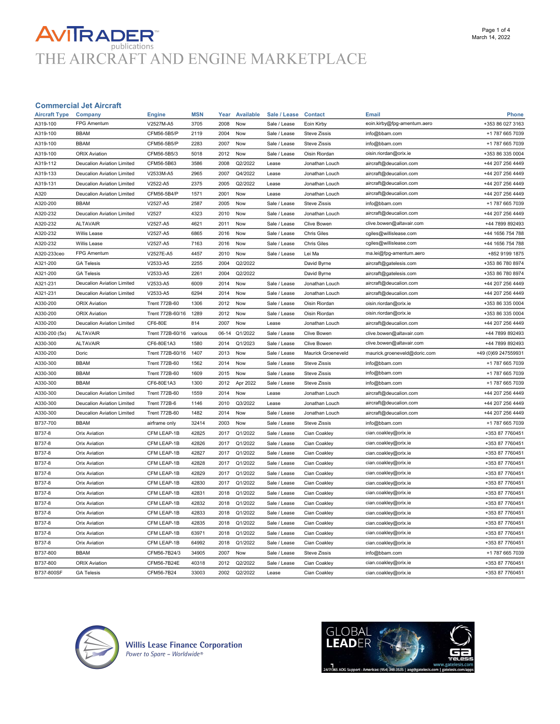# **AVITRADER**<br>THE AIRCRAFT AND ENGINE MARKETPLACE

#### Commercial Jet Aircraft

| <b>Aircraft Type</b> | Company                           | <b>Engine</b>        | <b>MSN</b> | Year  | <b>Available</b> | Sale / Lease | <b>Contact</b>            | <b>Email</b>                 | <b>Phone</b>        |
|----------------------|-----------------------------------|----------------------|------------|-------|------------------|--------------|---------------------------|------------------------------|---------------------|
| A319-100             | FPG Amentum                       | V2527M-A5            | 3705       | 2008  | Now              | Sale / Lease | Eoin Kirby                | eoin.kirby@fpg-amentum.aero  | +353 86 027 3163    |
| A319-100             | <b>BBAM</b>                       | CFM56-5B5/P          | 2119       | 2004  | Now              | Sale / Lease | <b>Steve Zissis</b>       | info@bbam.com                | +1 787 665 7039     |
| A319-100             | <b>BBAM</b>                       | CFM56-5B5/P          | 2283       | 2007  | Now              | Sale / Lease | <b>Steve Zissis</b>       | info@bbam.com                | +1 787 665 7039     |
| A319-100             | <b>ORIX Aviation</b>              | CFM56-5B5/3          | 5018       | 2012  | Now              | Sale / Lease | Oisin Riordan             | oisin.riordan@orix.ie        | +353 86 335 0004    |
| A319-112             | <b>Deucalion Aviation Limited</b> | CFM56-5B63           | 3586       | 2008  | Q2/2022          | Lease        | Jonathan Louch            | aircraft@deucalion.com       | +44 207 256 4449    |
| A319-133             | Deucalion Aviation Limited        | V2533M-A5            | 2965       | 2007  | Q4/2022          | Lease        | Jonathan Louch            | aircraft@deucalion.com       | +44 207 256 4449    |
| A319-131             | <b>Deucalion Aviation Limited</b> | V2522-A5             | 2375       | 2005  | Q2/2022          | Lease        | Jonathan Louch            | aircraft@deucalion.com       | +44 207 256 4449    |
| A320                 | <b>Deucalion Aviation Limited</b> | CFM56-5B4/P          | 1571       | 2001  | Now              | Lease        | Jonathan Louch            | aircraft@deucalion.com       | +44 207 256 4449    |
| A320-200             | <b>BBAM</b>                       | V2527-A5             | 2587       | 2005  | Now              | Sale / Lease | <b>Steve Zissis</b>       | info@bbam.com                | +1 787 665 7039     |
| A320-232             | <b>Deucalion Aviation Limited</b> | V2527                | 4323       | 2010  | Now              | Sale / Lease | Jonathan Louch            | aircraft@deucalion.com       | +44 207 256 4449    |
| A320-232             | <b>ALTAVAIR</b>                   | V2527-A5             | 4621       | 2011  | Now              | Sale / Lease | Clive Bowen               | clive.bowen@altavair.com     | +44 7899 892493     |
| A320-232             | Willis Lease                      | V2527-A5             | 6865       | 2016  | Now              | Sale / Lease | <b>Chris Giles</b>        | cgiles@willislease.com       | +44 1656 754 788    |
| A320-232             | Willis Lease                      | V2527-A5             | 7163       | 2016  | Now              | Sale / Lease | <b>Chris Giles</b>        | cgiles@willislease.com       | +44 1656 754 788    |
| A320-233ceo          | <b>FPG Amentum</b>                | V2527E-A5            | 4457       | 2010  | Now              | Sale / Lease | Lei Ma                    | ma.lei@fpg-amentum.aero      | +852 9199 1875      |
| A321-200             | <b>GA Telesis</b>                 | V2533-A5             | 2255       | 2004  | Q2/2022          |              | David Byrne               | aircraft@gatelesis.com       | +353 86 780 8974    |
| A321-200             | <b>GA Telesis</b>                 | V2533-A5             | 2261       | 2004  | Q2/2022          |              | David Byrne               | aircraft@gatelesis.com       | +353 86 780 8974    |
| A321-231             | <b>Deucalion Aviation Limited</b> | V2533-A5             | 6009       | 2014  | Now              | Sale / Lease | Jonathan Louch            | aircraft@deucalion.com       | +44 207 256 4449    |
| A321-231             | <b>Deucalion Aviation Limited</b> | V2533-A5             | 6294       | 2014  | Now              | Sale / Lease | Jonathan Louch            | aircraft@deucalion.com       | +44 207 256 4449    |
| A330-200             | <b>ORIX Aviation</b>              | <b>Trent 772B-60</b> | 1306       | 2012  | Now              | Sale / Lease | Oisin Riordan             | oisin.riordan@orix.ie        | +353 86 335 0004    |
| A330-200             | <b>ORIX Aviation</b>              | Trent 772B-60/16     | 1289       | 2012  | Now              | Sale / Lease | Oisin Riordan             | oisin.riordan@orix.ie        | +353 86 335 0004    |
| A330-200             | <b>Deucalion Aviation Limited</b> | CF6-80E              | 814        | 2007  | Now              | Lease        | Jonathan Louch            | aircraft@deucalion.com       | +44 207 256 4449    |
| A330-200 (5x)        | <b>ALTAVAIR</b>                   | Trent 772B-60/16     | various    | 06-14 | Q1/2022          | Sale / Lease | Clive Bowen               | clive.bowen@altavair.com     | +44 7899 892493     |
| A330-300             | <b>ALTAVAIR</b>                   | CF6-80E1A3           | 1580       | 2014  | Q1/2023          | Sale / Lease | Clive Bowen               | clive.bowen@altavair.com     | +44 7899 892493     |
|                      |                                   |                      |            |       |                  |              |                           |                              |                     |
| A330-200             | Doric                             | Trent 772B-60/16     | 1407       | 2013  | Now              | Sale / Lease | <b>Maurick Groeneveld</b> | maurick.groeneveld@doric.com | +49 (0)69 247559931 |
| A330-300             | <b>BBAM</b>                       | <b>Trent 772B-60</b> | 1562       | 2014  | Now              | Sale / Lease | <b>Steve Zissis</b>       | info@bbam.com                | +1 787 665 7039     |
| A330-300             | <b>BBAM</b>                       | <b>Trent 772B-60</b> | 1609       | 2015  | Now              | Sale / Lease | <b>Steve Zissis</b>       | info@bbam.com                | +1 787 665 7039     |
| A330-300             | <b>BBAM</b>                       | CF6-80E1A3           | 1300       | 2012  | Apr 2022         | Sale / Lease | <b>Steve Zissis</b>       | info@bbam.com                | +1 787 665 7039     |
| A330-300             | <b>Deucalion Aviation Limited</b> | <b>Trent 772B-60</b> | 1559       | 2014  | Now              | Lease        | Jonathan Louch            | aircraft@deucalion.com       | +44 207 256 4449    |
| A330-300             | Deucalion Aviation Limited        | <b>Trent 772B-6</b>  | 1146       | 2010  | Q3/2022          | Lease        | Jonathan Louch            | aircraft@deucalion.com       | +44 207 256 4449    |
| A330-300             | <b>Deucalion Aviation Limited</b> | <b>Trent 772B-60</b> | 1482       | 2014  | Now              | Sale / Lease | Jonathan Louch            | aircraft@deucalion.com       | +44 207 256 4449    |
| B737-700             | <b>BBAM</b>                       | airframe only        | 32414      | 2003  | Now              | Sale / Lease | <b>Steve Zissis</b>       | info@bbam.com                | +1 787 665 7039     |
| B737-8               | <b>Orix Aviation</b>              | CFM LEAP-1B          | 42825      | 2017  | Q1/2022          | Sale / Lease | Cian Coakley              | cian.coakley@orix.ie         | +353 87 7760451     |
| B737-8               | <b>Orix Aviation</b>              | CFM LEAP-1B          | 42826      | 2017  | Q1/2022          | Sale / Lease | Cian Coakley              | cian.coakley@orix.ie         | +353 87 7760451     |
| B737-8               | <b>Orix Aviation</b>              | CFM LEAP-1B          | 42827      | 2017  | Q1/2022          | Sale / Lease | Cian Coakley              | cian.coakley@orix.ie         | +353 87 7760451     |
| B737-8               | <b>Orix Aviation</b>              | CFM LEAP-1B          | 42828      | 2017  | Q1/2022          | Sale / Lease | Cian Coakley              | cian.coakley@orix.ie         | +353 87 7760451     |
| B737-8               | <b>Orix Aviation</b>              | CFM LEAP-1B          | 42829      | 2017  | Q1/2022          | Sale / Lease | Cian Coakley              | cian.coakley@orix.ie         | +353 87 7760451     |
| B737-8               | <b>Orix Aviation</b>              | CFM LEAP-1B          | 42830      | 2017  | Q1/2022          | Sale / Lease | Cian Coakley              | cian.coakley@orix.ie         | +353 87 7760451     |
| B737-8               | <b>Orix Aviation</b>              | CFM LEAP-1B          | 42831      | 2018  | Q1/2022          | Sale / Lease | Cian Coakley              | cian.coakley@orix.ie         | +353 87 7760451     |
| B737-8               | <b>Orix Aviation</b>              | CFM LEAP-1B          | 42832      | 2018  | Q1/2022          | Sale / Lease | Cian Coakley              | cian.coakley@orix.ie         | +353 87 7760451     |
| B737-8               | <b>Orix Aviation</b>              | CFM LEAP-1B          | 42833      | 2018  | Q1/2022          | Sale / Lease | Cian Coakley              | cian.coakley@orix.ie         | +353 87 7760451     |
| B737-8               | Orix Aviation                     | CFM LEAP-1B          | 42835      | 2018  | Q1/2022          | Sale / Lease | Cian Coakley              | cian.coakley@orix.ie         | +353 87 7760451     |
| B737-8               | <b>Orix Aviation</b>              | CFM LEAP-1B          | 63971      | 2018  | Q1/2022          | Sale / Lease | Cian Coakley              | cian.coakley@orix.ie         | +353 87 7760451     |
| B737-8               | <b>Orix Aviation</b>              | CFM LEAP-1B          | 64992      | 2018  | Q1/2022          | Sale / Lease | Cian Coakley              | cian.coakley@orix.ie         | +353 87 7760451     |
| B737-800             | <b>BBAM</b>                       | CFM56-7B24/3         | 34905      | 2007  | Now              | Sale / Lease | <b>Steve Zissis</b>       | info@bbam.com                | +1 787 665 7039     |
| B737-800             | <b>ORIX Aviation</b>              | CFM56-7B24E          | 40318      | 2012  | Q2/2022          | Sale / Lease | Cian Coakley              | cian.coakley@orix.ie         | +353 87 7760451     |



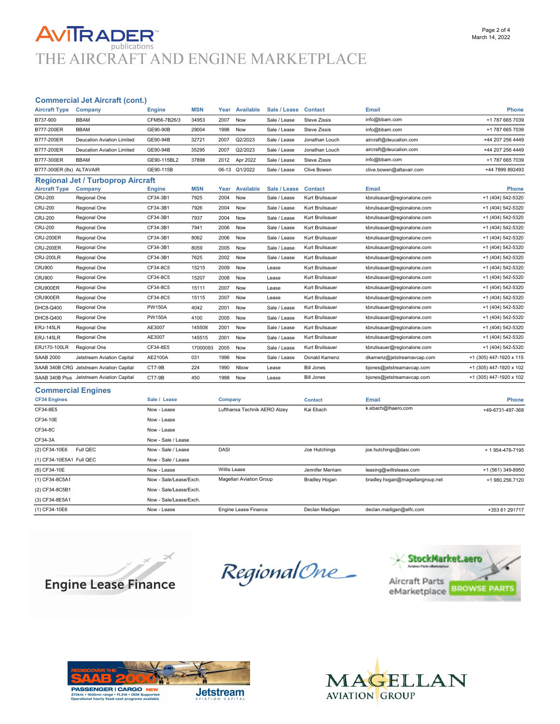### **AVITRADER** publications THE AIRCRAFT AND ENGINE MARKETPLACE

#### Commercial Jet Aircraft (cont.)

| <b>Aircraft Type</b>      | Company                                   | <b>Engine</b> | <b>MSN</b> | Year    | <b>Available</b> | Sale / Lease | <b>Contact</b>      | <b>Email</b>                | Phone                   |
|---------------------------|-------------------------------------------|---------------|------------|---------|------------------|--------------|---------------------|-----------------------------|-------------------------|
| B737-900                  | <b>BBAM</b>                               | CFM56-7B26/3  | 34953      | 2007    | Now              | Sale / Lease | <b>Steve Zissis</b> | info@bbam.com               | +1 787 665 7039         |
| B777-200ER                | <b>BBAM</b>                               | GE90-90B      | 29004      | 1998    | Now              | Sale / Lease | <b>Steve Zissis</b> | info@bbam.com               | +1 787 665 7039         |
| B777-200ER                | <b>Deucalion Aviation Limited</b>         | GE90-94B      | 32721      | 2007    | Q2/2023          | Sale / Lease | Jonathan Louch      | aircraft@deucalion.com      | +44 207 256 4449        |
| B777-200ER                | <b>Deucalion Aviation Limited</b>         | GE90-94B      | 35295      | 2007    | Q2/2023          | Sale / Lease | Jonathan Louch      | aircraft@deucalion.com      | +44 207 256 4449        |
| B777-300ER                | <b>BBAM</b>                               | GE90-115BL2   | 37898      | 2012    | Apr 2022         | Sale / Lease | <b>Steve Zissis</b> | info@bbam.com               | +1 787 665 7039         |
| B777-300ER (8x) ALTAVAIR  |                                           | GE90-115B     |            |         | 06-13 Q1/2022    | Sale / Lease | <b>Clive Bowen</b>  | clive.bowen@altavair.com    | +44 7899 892493         |
|                           | <b>Regional Jet / Turboprop Aircraft</b>  |               |            |         |                  |              |                     |                             |                         |
| <b>Aircraft Type</b>      | Company                                   | <b>Engine</b> | <b>MSN</b> | Year    | Available        | Sale / Lease | <b>Contact</b>      | <b>Email</b>                | <b>Phone</b>            |
| <b>CRJ-200</b>            | Regional One                              | CF34-3B1      | 7925       | 2004    | Now              | Sale / Lease | Kurt Brulisauer     | kbrulisauer@regionalone.com | +1 (404) 542-5320       |
| <b>CRJ-200</b>            | Regional One                              | CF34-3B1      | 7926       | 2004    | Now              | Sale / Lease | Kurt Brulisauer     | kbrulisauer@regionalone.com | +1 (404) 542-5320       |
| <b>CRJ-200</b>            | Regional One                              | CF34-3B1      | 7937       | 2004    | Now              | Sale / Lease | Kurt Brulisauer     | kbrulisauer@regionalone.com | +1 (404) 542-5320       |
| CRJ-200                   | Regional One                              | CF34-3B1      | 7941       | 2006    | Now              | Sale / Lease | Kurt Brulisauer     | kbrulisauer@regionalone.com | +1 (404) 542-5320       |
| <b>CRJ-200ER</b>          | Regional One                              | CF34-3B1      | 8062       | 2006    | Now              | Sale / Lease | Kurt Brulisauer     | kbrulisauer@regionalone.com | +1 (404) 542-5320       |
| <b>CRJ-200ER</b>          | Regional One                              | CF34-3B1      | 8059       | 2005    | Now              | Sale / Lease | Kurt Brulisauer     | kbrulisauer@regionalone.com | +1 (404) 542-5320       |
| CRJ-200LR                 | Regional One                              | CF34-3B1      | 7625       | 2002    | Now              | Sale / Lease | Kurt Brulisauer     | kbrulisauer@regionalone.com | +1 (404) 542-5320       |
| <b>CRJ900</b>             | Regional One                              | CF34-8C5      | 15215      | 2009    | Now              | Lease        | Kurt Brulisauer     | kbrulisauer@regionalone.com | +1 (404) 542-5320       |
| <b>CRJ900</b>             | Regional One                              | CF34-8C5      | 15207      | 2008    | Now              | Lease        | Kurt Brulisauer     | kbrulisauer@regionalone.com | +1 (404) 542-5320       |
| CRJ900ER                  | Regional One                              | CF34-8C5      | 15111      | 2007    | Now              | Lease        | Kurt Brulisauer     | kbrulisauer@regionalone.com | +1 (404) 542-5320       |
| CRJ900ER                  | Regional One                              | CF34-8C5      | 15115      | 2007    | Now              | Lease        | Kurt Brulisauer     | kbrulisauer@regionalone.com | +1 (404) 542-5320       |
| DHC8-Q400                 | Regional One                              | <b>PW150A</b> | 4042       | 2001    | Now              | Sale / Lease | Kurt Brulisauer     | kbrulisauer@regionalone.com | +1 (404) 542-5320       |
| DHC8-Q400                 | Regional One                              | <b>PW150A</b> | 4100       | 2005    | Now              | Sale / Lease | Kurt Brulisauer     | kbrulisauer@regionalone.com | +1 (404) 542-5320       |
| <b>ERJ-145LR</b>          | Regional One                              | AE3007        | 145508     | 2001    | Now              | Sale / Lease | Kurt Brulisauer     | kbrulisauer@regionalone.com | +1 (404) 542-5320       |
| <b>ERJ-145LR</b>          | Regional One                              | AE3007        | 145515     | 2001    | Now              | Sale / Lease | Kurt Brulisauer     | kbrulisauer@regionalone.com | +1 (404) 542-5320       |
| ERJ170-100LR              | Regional One                              | CF34-8E5      | 17000093   | 2005    | Now              | Sale / Lease | Kurt Brulisauer     | kbrulisauer@regionalone.com | +1 (404) 542-5320       |
| <b>SAAB 2000</b>          | Jetstream Aviation Capital                | AE2100A       | 031        | 1996    | Now              | Sale / Lease | Donald Kamenz       | dkamenz@jetstreamavcap.com  | +1 (305) 447-1920 x 115 |
|                           | SAAB 340B CRG Jetstream Aviation Capital  | CT7-9B        | 224        | 1990    | Nbow             | Lease        | <b>Bill Jones</b>   | bjones@jetstreamavcap.com   | +1 (305) 447-1920 x 102 |
|                           | SAAB 340B Plus Jetstream Aviation Capital | CT7-9B        | 450        | 1998    | Now              | Lease        | <b>Bill Jones</b>   | bjones@jetstreamavcap.com   | +1 (305) 447-1920 x 102 |
| <b>Commercial Engines</b> |                                           |               |            |         |                  |              |                     |                             |                         |
| <b>CF34 Engines</b>       |                                           | Sale / Lease  |            | Company |                  |              | <b>Contact</b>      | <b>Email</b>                | <b>Phone</b>            |

| <b>CF34 Engines</b>       | Sale / Lease           | Company                        | <b>Contact</b>       | Email                           | <b>Phone</b>      |
|---------------------------|------------------------|--------------------------------|----------------------|---------------------------------|-------------------|
| CF34-8E5                  | Now - Lease            | Lufthansa Technik AERO Alzey   | Kai Ebach            | k.ebach@lhaero.com              | +49-6731-497-368  |
| CF34-10E                  | Now - Lease            |                                |                      |                                 |                   |
| CF34-8C                   | Now - Lease            |                                |                      |                                 |                   |
| CF34-3A                   | Now - Sale / Lease     |                                |                      |                                 |                   |
| Full QEC<br>(2) CF34-10E6 | Now - Sale / Lease     | <b>DASI</b>                    | Joe Hutchings        | joe.hutchings@dasi.com          | + 1 954-478-7195  |
| (1) CF34-10E5A1 Full QEC  | Now - Sale / Lease     |                                |                      |                                 |                   |
| (5) CF34-10E              | Now - Lease            | <b>Willis Lease</b>            | Jennifer Merriam     | leasing@willislease.com         | +1 (561) 349-8950 |
| (1) CF34-8C5A1            | Now - Sale/Lease/Exch. | <b>Magellan Aviation Group</b> | <b>Bradley Hogan</b> | bradley.hogan@magellangroup.net | +1 980.256.7120   |
| (2) CF34-8C5B1            | Now - Sale/Lease/Exch. |                                |                      |                                 |                   |
| (3) CF34-8E5A1            | Now - Sale/Lease/Exch. |                                |                      |                                 |                   |
| (1) CF34-10E6             | Now - Lease            | <b>Engine Lease Finance</b>    | Declan Madigan       | declan.madigan@elfc.com         | +353 61 291717    |



RegionalOne\_





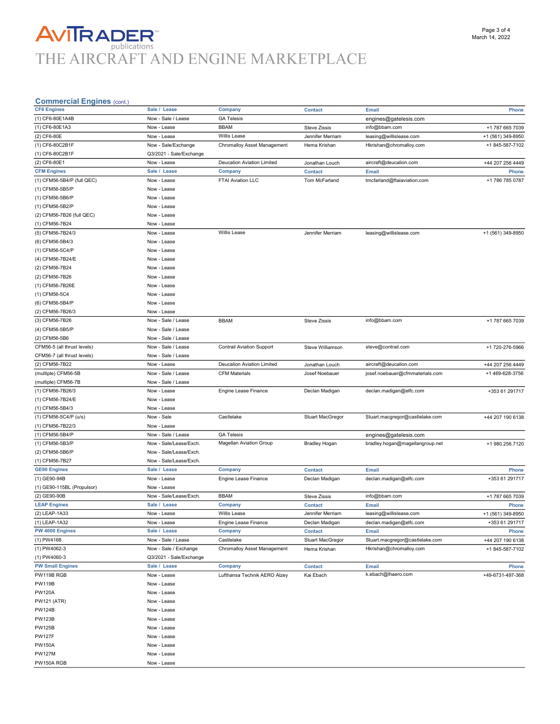## **AVITRADER**<br>THE AIRCRAFT AND ENGINE MARKETPLACE

#### Commercial Engines (cont.)

| Commercial Lingmes (com.)   |                         |                                  |                         |                                 |                   |
|-----------------------------|-------------------------|----------------------------------|-------------------------|---------------------------------|-------------------|
| <b>CF6 Engines</b>          | Sale / Lease            | Company                          | <b>Contact</b>          | Email                           | <b>Phone</b>      |
| (1) CF6-80E1A4B             | Now - Sale / Lease      | <b>GA Telesis</b>                |                         | engines@gatelesis.com           |                   |
| (1) CF6-80E1A3              | Now - Lease             | <b>BBAM</b>                      | <b>Steve Zissis</b>     | info@bbam.com                   | +1 787 665 7039   |
| (2) CF6-80E                 | Now - Lease             | <b>Willis Lease</b>              | Jennifer Merriam        | leasing@willislease.com         | +1 (561) 349-8950 |
| (1) CF6-80C2B1F             | Now - Sale/Exchange     | Chromalloy Asset Management      | Hema Krishan            | Hkrishan@chromalloy.com         | +1 845-587-7102   |
|                             |                         |                                  |                         |                                 |                   |
| (1) CF6-80C2B1F             | Q3/2021 - Sale/Exchange |                                  |                         |                                 |                   |
| (2) CF6-80E1                | Now - Lease             | Deucalion Aviation Limited       | Jonathan Louch          | aircraft@deucalion.com          | +44 207 256 4449  |
| <b>CFM Engines</b>          | Sale /<br>Lease         | Company                          | <b>Contact</b>          | Email                           | <b>Phone</b>      |
| (1) CFM56-5B4/P (full QEC)  | Now - Lease             | FTAI Aviation LLC                | Tom McFarland           | tmcfarland@ftaiaviation.com     | +1 786 785 0787   |
| (1) CFM56-5B5/P             | Now - Lease             |                                  |                         |                                 |                   |
| (1) CFM56-5B6/P             | Now - Lease             |                                  |                         |                                 |                   |
|                             |                         |                                  |                         |                                 |                   |
| (1) CFM56-5B2/P             | Now - Lease             |                                  |                         |                                 |                   |
| (2) CFM56-7B26 (full QEC)   | Now - Lease             |                                  |                         |                                 |                   |
| (1) CFM56-7B24              | Now - Lease             |                                  |                         |                                 |                   |
| (5) CFM56-7B24/3            | Now - Lease             | Willis Lease                     | Jennifer Merriam        | leasing@willislease.com         | +1 (561) 349-8950 |
| (6) CFM56-5B4/3             | Now - Lease             |                                  |                         |                                 |                   |
| (1) CFM56-5C4/P             | Now - Lease             |                                  |                         |                                 |                   |
|                             |                         |                                  |                         |                                 |                   |
| (4) CFM56-7B24/E            | Now - Lease             |                                  |                         |                                 |                   |
| (2) CFM56-7B24              | Now - Lease             |                                  |                         |                                 |                   |
| (2) CFM56-7B26              | Now - Lease             |                                  |                         |                                 |                   |
| (1) CFM56-7B26E             | Now - Lease             |                                  |                         |                                 |                   |
| (1) CFM56-5C4               | Now - Lease             |                                  |                         |                                 |                   |
| (6) CFM56-5B4/P             | Now - Lease             |                                  |                         |                                 |                   |
|                             |                         |                                  |                         |                                 |                   |
| (2) CFM56-7B26/3            | Now - Lease             |                                  |                         |                                 |                   |
| (3) CFM56-7B26              | Now - Sale / Lease      | <b>BBAM</b>                      | <b>Steve Zissis</b>     | info@bbam.com                   | +1 787 665 7039   |
| (4) CFM56-5B5/P             | Now - Sale / Lease      |                                  |                         |                                 |                   |
| (2) CFM56-5B6               | Now - Sale / Lease      |                                  |                         |                                 |                   |
| CFM56-5 (all thrust levels) | Now - Sale / Lease      | <b>Contrail Aviation Support</b> | Steve Williamson        | steve@contrail.com              | +1 720-276-5966   |
|                             | Now - Sale / Lease      |                                  |                         |                                 |                   |
| CFM56-7 (all thrust levels) |                         |                                  |                         |                                 |                   |
| (2) CFM56-7B22              | Now - Lease             | Deucalion Aviation Limited       | Jonathan Louch          | aircraft@deucalion.com          | +44 207 256 4449  |
| (multiple) CFM56-5B         | Now - Sale / Lease      | <b>CFM Materials</b>             | Josef Noebauer          | josef.noebauer@cfmmaterials.com | +1 469-628-3756   |
| (multiple) CFM56-7B         | Now - Sale / Lease      |                                  |                         |                                 |                   |
| (1) CFM56-7B26/3            | Now - Lease             | Engine Lease Finance             | Declan Madigan          | declan.madigan@elfc.com         | +353 61 291717    |
| (1) CFM56-7B24/E            | Now - Lease             |                                  |                         |                                 |                   |
|                             |                         |                                  |                         |                                 |                   |
| (1) CFM56-5B4/3             | Now - Lease             |                                  |                         |                                 |                   |
| (1) CFM56-5C4/P (u/s)       | Now - Sale              | Castlelake                       | Stuart MacGregor        | Stuart.macgregor@castlelake.com | +44 207 190 6138  |
| (1) CFM56-7B22/3            | Now - Lease             |                                  |                         |                                 |                   |
| (1) CFM56-5B4/P             | Now - Sale / Lease      | <b>GA Telesis</b>                |                         | engines@gatelesis.com           |                   |
| (1) CFM56-5B3/P             | Now - Sale/Lease/Exch.  | <b>Magellan Aviation Group</b>   | <b>Bradley Hogan</b>    | bradley.hogan@magellangroup.net | +1 980.256.7120   |
| (2) CFM56-5B6/P             | Now - Sale/Lease/Exch.  |                                  |                         |                                 |                   |
|                             |                         |                                  |                         |                                 |                   |
| (1) CFM56-7B27              | Now - Sale/Lease/Exch.  |                                  |                         |                                 |                   |
| <b>GE90 Engines</b>         | Sale / Lease            | Company                          | <b>Contact</b>          | Email                           | <b>Phone</b>      |
| (1) GE90-94B                | Now - Lease             | Engine Lease Finance             | Declan Madigan          | declan.madigan@elfc.com         | +353 61 291717    |
| (1) GE90-115BL (Propulsor)  | Now - Lease             |                                  |                         |                                 |                   |
| (2) GE90-90B                | Now - Sale/Lease/Exch.  | <b>BBAM</b>                      | <b>Steve Zissis</b>     | info@bbam.com                   | +1 787 665 7039   |
| <b>LEAP Engines</b>         | Sale / Lease            | Company                          | <b>Contact</b>          | <b>Email</b>                    | <b>Phone</b>      |
|                             |                         | <b>Willis Lease</b>              |                         |                                 |                   |
| (2) LEAP-1A33               | Now - Lease             |                                  | Jennifer Merriam        | leasing@willislease.com         | +1 (561) 349-8950 |
| (1) LEAP-1A32               | Now - Lease             | Engine Lease Finance             | Declan Madigan          | declan.madigan@elfc.com         | +353 61 291717    |
| PW 4000 Engines             | Sale / Lease            | Company                          | <b>Contact</b>          | Email                           | Phone             |
| (1) PW4168                  | Now - Sale / Lease      | Castlelake                       | <b>Stuart MacGregor</b> | Stuart.macgregor@castlelake.com | +44 207 190 6138  |
| (1) PW4062-3                | Now - Sale / Exchange   | Chromalloy Asset Management      | Hema Krishan            | Hkrishan@chromalloy.com         | +1 845-587-7102   |
| (1) PW4060-3                | Q3/2021 - Sale/Exchange |                                  |                         |                                 |                   |
| <b>PW Small Engines</b>     | Sale / Lease            |                                  |                         |                                 |                   |
|                             |                         | Company                          | <b>Contact</b>          | Email                           | Phone             |
| PW119B RGB                  | Now - Lease             | Lufthansa Technik AERO Alzey     | Kai Ebach               | k.ebach@lhaero.com              | +49-6731-497-368  |
| <b>PW119B</b>               | Now - Lease             |                                  |                         |                                 |                   |
| <b>PW120A</b>               | Now - Lease             |                                  |                         |                                 |                   |
| <b>PW121 (ATR)</b>          | Now - Lease             |                                  |                         |                                 |                   |
| <b>PW124B</b>               | Now - Lease             |                                  |                         |                                 |                   |
|                             |                         |                                  |                         |                                 |                   |
| <b>PW123B</b>               | Now - Lease             |                                  |                         |                                 |                   |
| <b>PW125B</b>               | Now - Lease             |                                  |                         |                                 |                   |
| <b>PW127F</b>               | Now - Lease             |                                  |                         |                                 |                   |
| <b>PW150A</b>               | Now - Lease             |                                  |                         |                                 |                   |
| <b>PW127M</b>               | Now - Lease             |                                  |                         |                                 |                   |
| PW150A RGB                  | Now - Lease             |                                  |                         |                                 |                   |
|                             |                         |                                  |                         |                                 |                   |